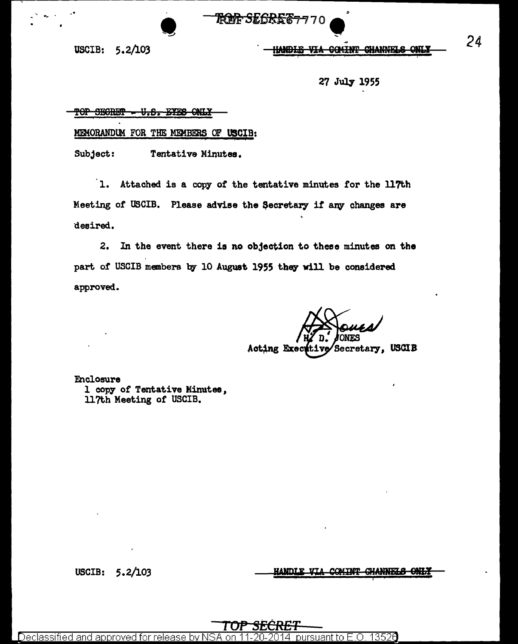USCIB: 5.2/103

-·

~ <u>HANDIE VIA COMINT CHANNELS ONLY</u>

27 July 1955

#### TOP SECRET - U.S. EYES ONLY

MEMORANDUM FOR THE MEMBERS OF USCIB:

Subject: Tentative Minutes.

1. Attached is a copy of the tentative minutes for the 117th Meeting of USCIB. Please advise the Secretary if any changes are ·desired.

**TROPE SEGI** 

2. In the event there is no objection to these minutes on the part of USCIB members by 10 August 1955 they will be considered approved.

Secretary, USCIB Acting Exect it 1

Enclosure 1 copy of Tentative Minutes, ll?t.h Meeting of USCIB.

USCIB: 5. 2/103

HANDLE VIA COMINT CHANNELS ONLY

<u>TOP SECRET</u>

Declassified and approved for release by NSA on 11-20-2014  $\,$  pursuant to E.O. 13526  $\,$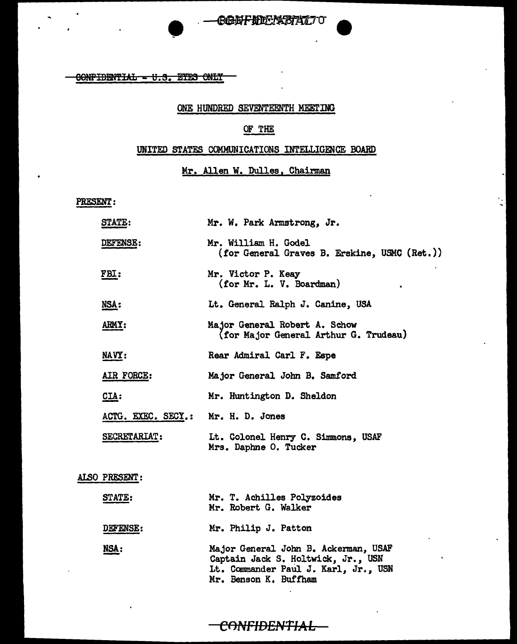CONFIDENTIAL - U.S. EYES ONLY

•

#### ONE HUNDRED SEVENTEENTH MEETING

## OF THE

### UNITED STATES COMMUNICATIONS INTELLIGENCE BOARD

## Mr. Allen W. Dulles, Chairman

 $\frac{1}{2}$ 

PRESENT:

| STATE:             | Mr. W. Park Armstrong, Jr.                                                                                                                  |
|--------------------|---------------------------------------------------------------------------------------------------------------------------------------------|
| DEFENSE:           | Mr. William H. Godel<br>(for General Graves B. Erskine, USMC (Ret.))                                                                        |
| FBI:               | Mr. Victor P. Keay<br>(for Mr. L. V. Boardman)                                                                                              |
| <u>NSA:</u>        | Lt. General Ralph J. Canine, USA                                                                                                            |
| <b>ARMY:</b>       | Major General Robert A. Schow<br>(for Major General Arthur G. Trudeau)                                                                      |
| NAVY:              | Rear Admiral Carl F. Espe                                                                                                                   |
| AIR FORCE:         | Major General John B. Samford                                                                                                               |
| $CLA$ :            | Mr. Huntington D. Sheldon                                                                                                                   |
| ACTG. EXEC. SECY.: | Mr. H. D. Jones                                                                                                                             |
| SECRETARIAT:       | Lt. Colonel Henry C. Simmons, USAF<br>Mrs. Daphne O. Tucker                                                                                 |
| ALSO PRESENT:      |                                                                                                                                             |
| <b>STATE:</b>      | Mr. T. Achilles Polyzoides<br>Mr. Robert G. Walker                                                                                          |
| DEFENSE:           | Mr. Philip J. Patton                                                                                                                        |
| NSA:               | Major General John B. Ackerman, USAF<br>Captain Jack S. Holtwick, Jr., USN<br>Lt. Commander Paul J. Karl, Jr., USN<br>Mr. Benson K. Buffham |

## CONFIDENTIAL-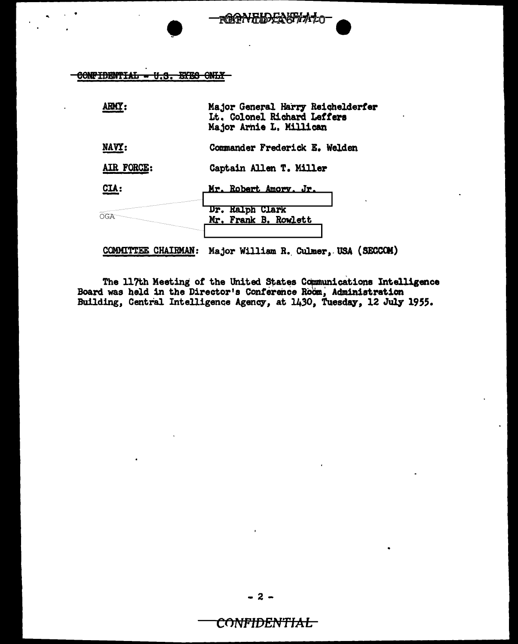

|                       | Major General Harry Reichelderfer<br>Lt. Colonel Richard Leffers<br>Major Arnie L. Millican |
|-----------------------|---------------------------------------------------------------------------------------------|
| NAVY:                 | Commander Frederick E. Welden                                                               |
| AIR FORCE:            | Captain Allen T. Miller                                                                     |
| CIA:                  | <u>Mr. Robert Amory, Jr.</u>                                                                |
| NGA                   | Dr. Halph Clark<br>Mr. Frank B. Rowlett                                                     |
| <b>TTEE CHAIRMAN:</b> | Major William R. Culmer, USA (SECCOM)                                                       |

<del>ѬѨӔ҈ҜѬѨ҂</del>

The 117th Meeting of the United States Communications Intelligence<br>Board was held in the Director's Conference Room, Administration<br>Building, Central Intelligence Agency, at 1430, Tuesday, 12 July 1955.

# CONFIDENTIAL